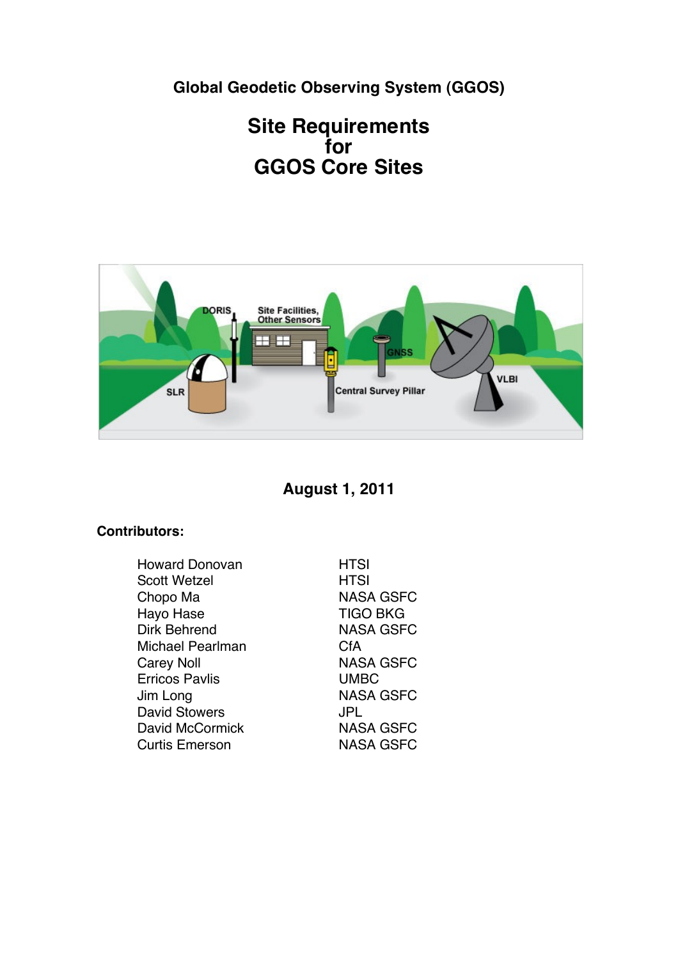**Global Geodetic Observing System (GGOS)**

# **Site Requirements for GGOS Core Sites**



**August 1, 2011**

## **Contributors:**

| <b>Howard Donovan</b> | <b>HTSI</b>      |
|-----------------------|------------------|
| <b>Scott Wetzel</b>   | HTSI             |
| Chopo Ma              | <b>NASA GSFC</b> |
| Hayo Hase             | <b>TIGO BKG</b>  |
| Dirk Behrend          | NASA GSFC        |
| Michael Pearlman      | CfA              |
| <b>Carey Noll</b>     | NASA GSFC        |
| <b>Erricos Pavlis</b> | <b>UMBC</b>      |
| Jim Long              | NASA GSFC        |
| <b>David Stowers</b>  | JPL              |
| David McCormick       | <b>NASA GSFC</b> |
| <b>Curtis Emerson</b> | NASA GSFC        |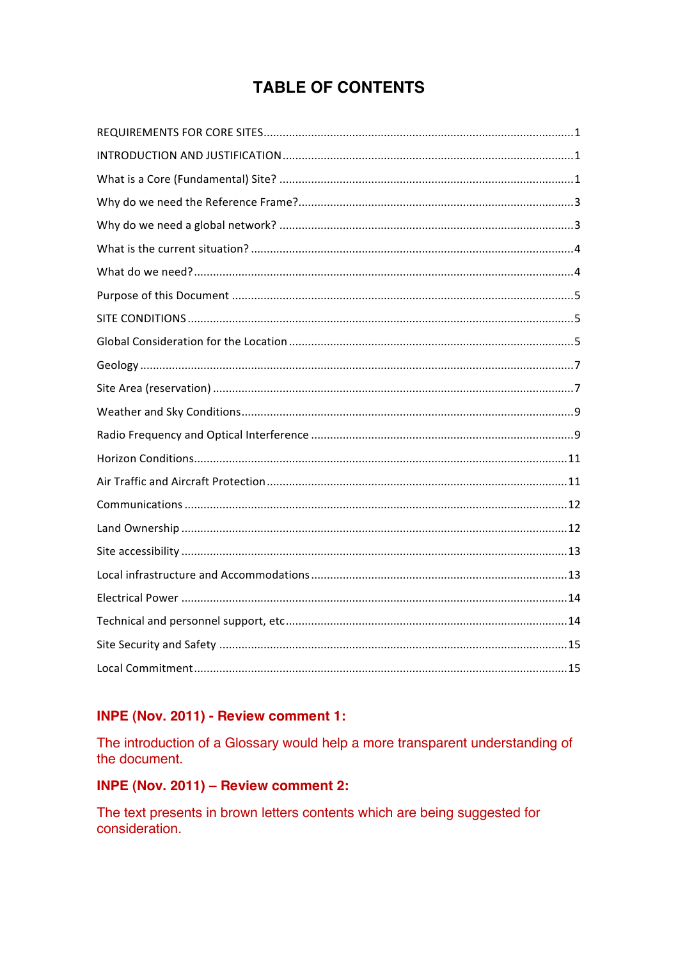# **TABLE OF CONTENTS**

## INPE (Nov. 2011) - Review comment 1:

The introduction of a Glossary would help a more transparent understanding of the document.

## INPE (Nov. 2011) - Review comment 2:

The text presents in brown letters contents which are being suggested for consideration.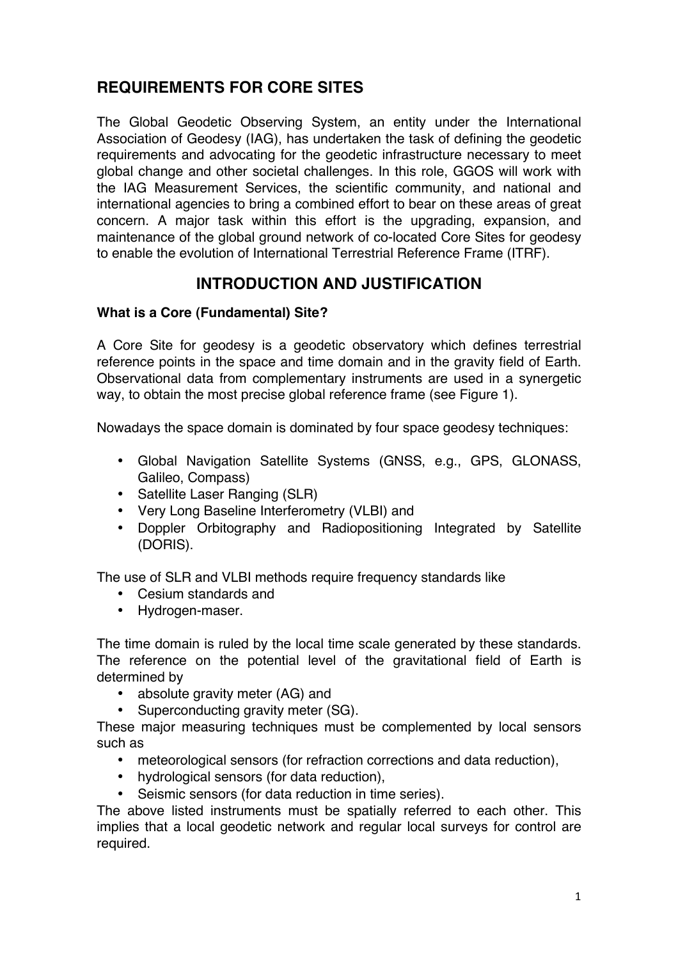## **REQUIREMENTS FOR CORE SITES**

The Global Geodetic Observing System, an entity under the International Association of Geodesy (IAG), has undertaken the task of defining the geodetic requirements and advocating for the geodetic infrastructure necessary to meet global change and other societal challenges. In this role, GGOS will work with the IAG Measurement Services, the scientific community, and national and international agencies to bring a combined effort to bear on these areas of great concern. A major task within this effort is the upgrading, expansion, and maintenance of the global ground network of co-located Core Sites for geodesy to enable the evolution of International Terrestrial Reference Frame (ITRF).

## **INTRODUCTION AND JUSTIFICATION**

#### **What is a Core (Fundamental) Site?**

A Core Site for geodesy is a geodetic observatory which defines terrestrial reference points in the space and time domain and in the gravity field of Earth. Observational data from complementary instruments are used in a synergetic way, to obtain the most precise global reference frame (see Figure 1).

Nowadays the space domain is dominated by four space geodesy techniques:

- Global Navigation Satellite Systems (GNSS, e.g., GPS, GLONASS, Galileo, Compass)
- Satellite Laser Ranging (SLR)
- Very Long Baseline Interferometry (VLBI) and
- Doppler Orbitography and Radiopositioning Integrated by Satellite (DORIS).

The use of SLR and VLBI methods require frequency standards like

- Cesium standards and
- Hydrogen-maser.

The time domain is ruled by the local time scale generated by these standards. The reference on the potential level of the gravitational field of Earth is determined by

- absolute gravity meter (AG) and
- Superconducting gravity meter (SG).

These major measuring techniques must be complemented by local sensors such as

- meteorological sensors (for refraction corrections and data reduction),
- hydrological sensors (for data reduction),
- Seismic sensors (for data reduction in time series).

The above listed instruments must be spatially referred to each other. This implies that a local geodetic network and regular local surveys for control are required.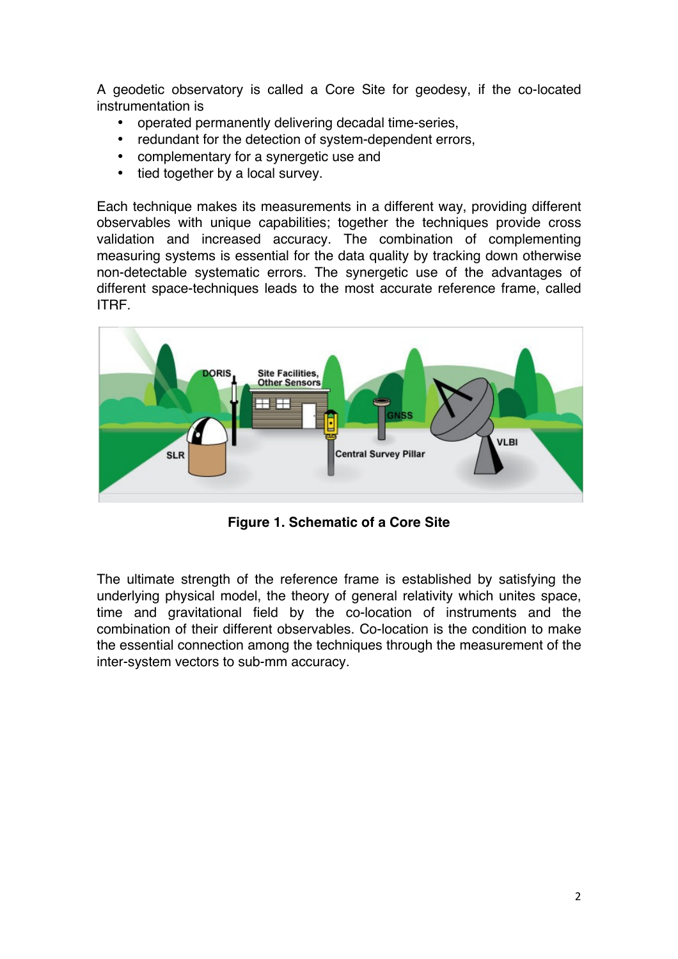A geodetic observatory is called a Core Site for geodesy, if the co-located instrumentation is

- operated permanently delivering decadal time-series,
- redundant for the detection of system-dependent errors,
- complementary for a synergetic use and
- tied together by a local survey.

Each technique makes its measurements in a different way, providing different observables with unique capabilities; together the techniques provide cross validation and increased accuracy. The combination of complementing measuring systems is essential for the data quality by tracking down otherwise non-detectable systematic errors. The synergetic use of the advantages of different space-techniques leads to the most accurate reference frame, called ITRF.



**Figure 1. Schematic of a Core Site**

The ultimate strength of the reference frame is established by satisfying the underlying physical model, the theory of general relativity which unites space, time and gravitational field by the co-location of instruments and the combination of their different observables. Co-location is the condition to make the essential connection among the techniques through the measurement of the inter-system vectors to sub-mm accuracy.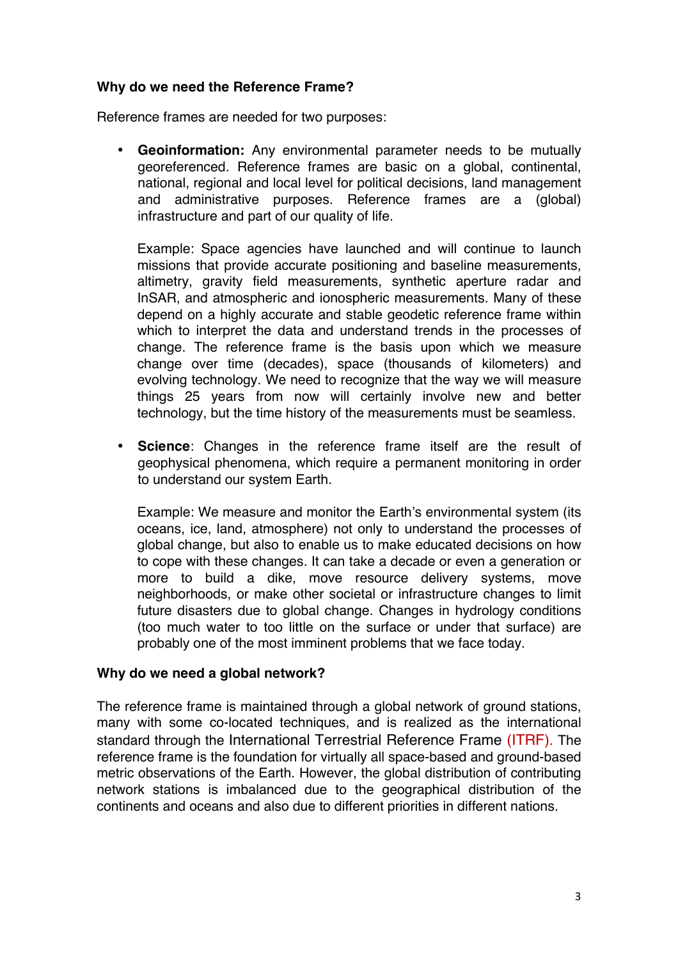#### **Why do we need the Reference Frame?**

Reference frames are needed for two purposes:

• **Geoinformation:** Any environmental parameter needs to be mutually georeferenced. Reference frames are basic on a global, continental, national, regional and local level for political decisions, land management and administrative purposes. Reference frames are a (global) infrastructure and part of our quality of life.

Example: Space agencies have launched and will continue to launch missions that provide accurate positioning and baseline measurements, altimetry, gravity field measurements, synthetic aperture radar and InSAR, and atmospheric and ionospheric measurements. Many of these depend on a highly accurate and stable geodetic reference frame within which to interpret the data and understand trends in the processes of change. The reference frame is the basis upon which we measure change over time (decades), space (thousands of kilometers) and evolving technology. We need to recognize that the way we will measure things 25 years from now will certainly involve new and better technology, but the time history of the measurements must be seamless.

• **Science**: Changes in the reference frame itself are the result of geophysical phenomena, which require a permanent monitoring in order to understand our system Earth.

Example: We measure and monitor the Earth's environmental system (its oceans, ice, land, atmosphere) not only to understand the processes of global change, but also to enable us to make educated decisions on how to cope with these changes. It can take a decade or even a generation or more to build a dike, move resource delivery systems, move neighborhoods, or make other societal or infrastructure changes to limit future disasters due to global change. Changes in hydrology conditions (too much water to too little on the surface or under that surface) are probably one of the most imminent problems that we face today.

#### **Why do we need a global network?**

The reference frame is maintained through a global network of ground stations, many with some co-located techniques, and is realized as the international standard through the International Terrestrial Reference Frame (ITRF). The reference frame is the foundation for virtually all space-based and ground-based metric observations of the Earth. However, the global distribution of contributing network stations is imbalanced due to the geographical distribution of the continents and oceans and also due to different priorities in different nations.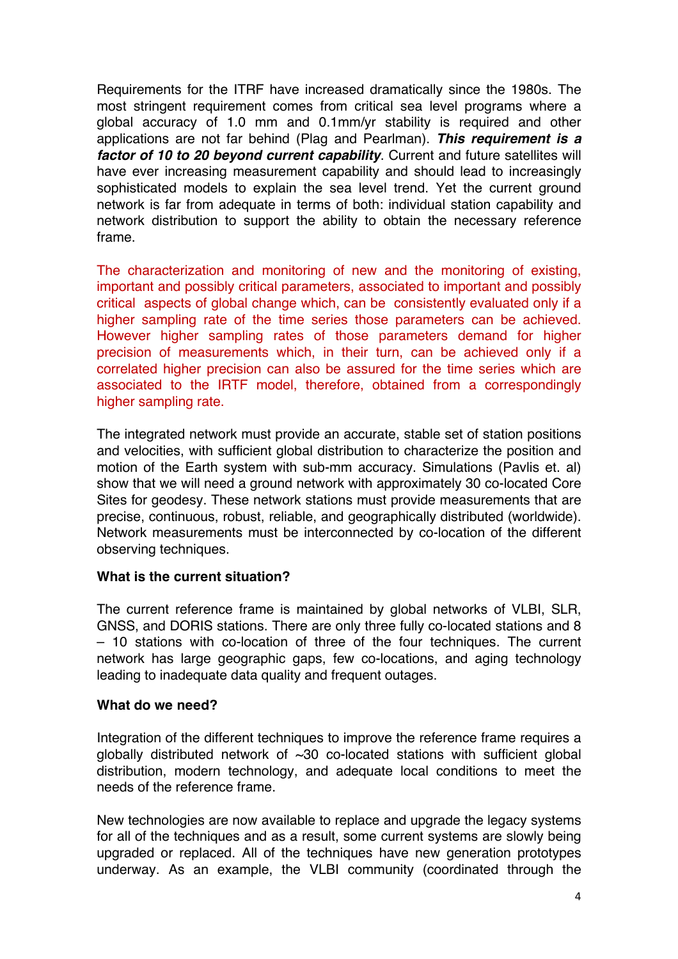Requirements for the ITRF have increased dramatically since the 1980s. The most stringent requirement comes from critical sea level programs where a global accuracy of 1.0 mm and 0.1mm/yr stability is required and other applications are not far behind (Plag and Pearlman). *This requirement is a factor of 10 to 20 beyond current capability*. Current and future satellites will have ever increasing measurement capability and should lead to increasingly sophisticated models to explain the sea level trend. Yet the current ground network is far from adequate in terms of both: individual station capability and network distribution to support the ability to obtain the necessary reference frame.

The characterization and monitoring of new and the monitoring of existing, important and possibly critical parameters, associated to important and possibly critical aspects of global change which, can be consistently evaluated only if a higher sampling rate of the time series those parameters can be achieved. However higher sampling rates of those parameters demand for higher precision of measurements which, in their turn, can be achieved only if a correlated higher precision can also be assured for the time series which are associated to the IRTF model, therefore, obtained from a correspondingly higher sampling rate.

The integrated network must provide an accurate, stable set of station positions and velocities, with sufficient global distribution to characterize the position and motion of the Earth system with sub-mm accuracy. Simulations (Pavlis et. al) show that we will need a ground network with approximately 30 co-located Core Sites for geodesy. These network stations must provide measurements that are precise, continuous, robust, reliable, and geographically distributed (worldwide). Network measurements must be interconnected by co-location of the different observing techniques.

#### **What is the current situation?**

The current reference frame is maintained by global networks of VLBI, SLR, GNSS, and DORIS stations. There are only three fully co-located stations and 8 – 10 stations with co-location of three of the four techniques. The current network has large geographic gaps, few co-locations, and aging technology leading to inadequate data quality and frequent outages.

#### **What do we need?**

Integration of the different techniques to improve the reference frame requires a globally distributed network of  $\sim$ 30 co-located stations with sufficient global distribution, modern technology, and adequate local conditions to meet the needs of the reference frame.

New technologies are now available to replace and upgrade the legacy systems for all of the techniques and as a result, some current systems are slowly being upgraded or replaced. All of the techniques have new generation prototypes underway. As an example, the VLBI community (coordinated through the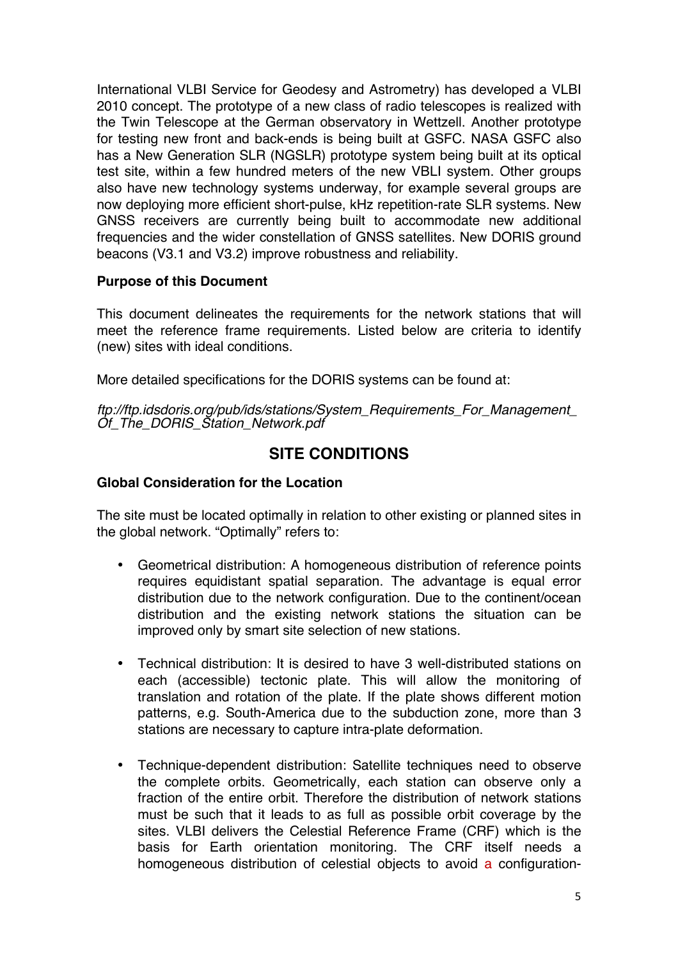International VLBI Service for Geodesy and Astrometry) has developed a VLBI 2010 concept. The prototype of a new class of radio telescopes is realized with the Twin Telescope at the German observatory in Wettzell. Another prototype for testing new front and back-ends is being built at GSFC. NASA GSFC also has a New Generation SLR (NGSLR) prototype system being built at its optical test site, within a few hundred meters of the new VBLI system. Other groups also have new technology systems underway, for example several groups are now deploying more efficient short-pulse, kHz repetition-rate SLR systems. New GNSS receivers are currently being built to accommodate new additional frequencies and the wider constellation of GNSS satellites. New DORIS ground beacons (V3.1 and V3.2) improve robustness and reliability.

#### **Purpose of this Document**

This document delineates the requirements for the network stations that will meet the reference frame requirements. Listed below are criteria to identify (new) sites with ideal conditions.

More detailed specifications for the DORIS systems can be found at:

*ftp://ftp.idsdoris.org/pub/ids/stations/System\_Requirements\_For\_Management\_ Of\_The\_DORIS\_Station\_Network.pdf*

## **SITE CONDITIONS**

### **Global Consideration for the Location**

The site must be located optimally in relation to other existing or planned sites in the global network. "Optimally" refers to:

- Geometrical distribution: A homogeneous distribution of reference points requires equidistant spatial separation. The advantage is equal error distribution due to the network configuration. Due to the continent/ocean distribution and the existing network stations the situation can be improved only by smart site selection of new stations.
- Technical distribution: It is desired to have 3 well-distributed stations on each (accessible) tectonic plate. This will allow the monitoring of translation and rotation of the plate. If the plate shows different motion patterns, e.g. South-America due to the subduction zone, more than 3 stations are necessary to capture intra-plate deformation.
- Technique-dependent distribution: Satellite techniques need to observe the complete orbits. Geometrically, each station can observe only a fraction of the entire orbit. Therefore the distribution of network stations must be such that it leads to as full as possible orbit coverage by the sites. VLBI delivers the Celestial Reference Frame (CRF) which is the basis for Earth orientation monitoring. The CRF itself needs a homogeneous distribution of celestial objects to avoid a configuration-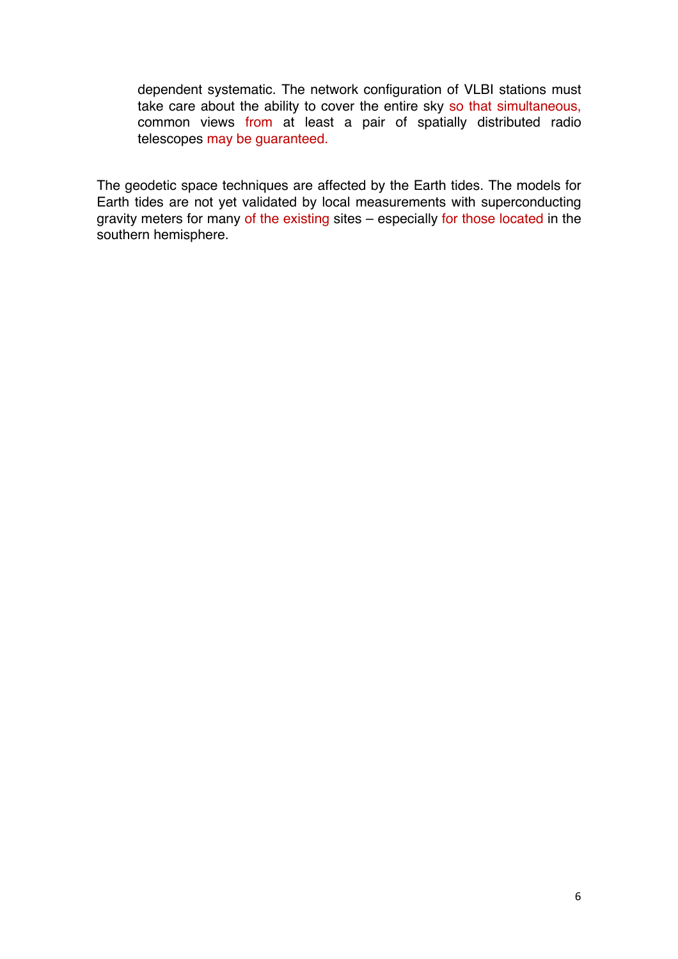dependent systematic. The network configuration of VLBI stations must take care about the ability to cover the entire sky so that simultaneous, common views from at least a pair of spatially distributed radio telescopes may be guaranteed.

The geodetic space techniques are affected by the Earth tides. The models for Earth tides are not yet validated by local measurements with superconducting gravity meters for many of the existing sites – especially for those located in the southern hemisphere.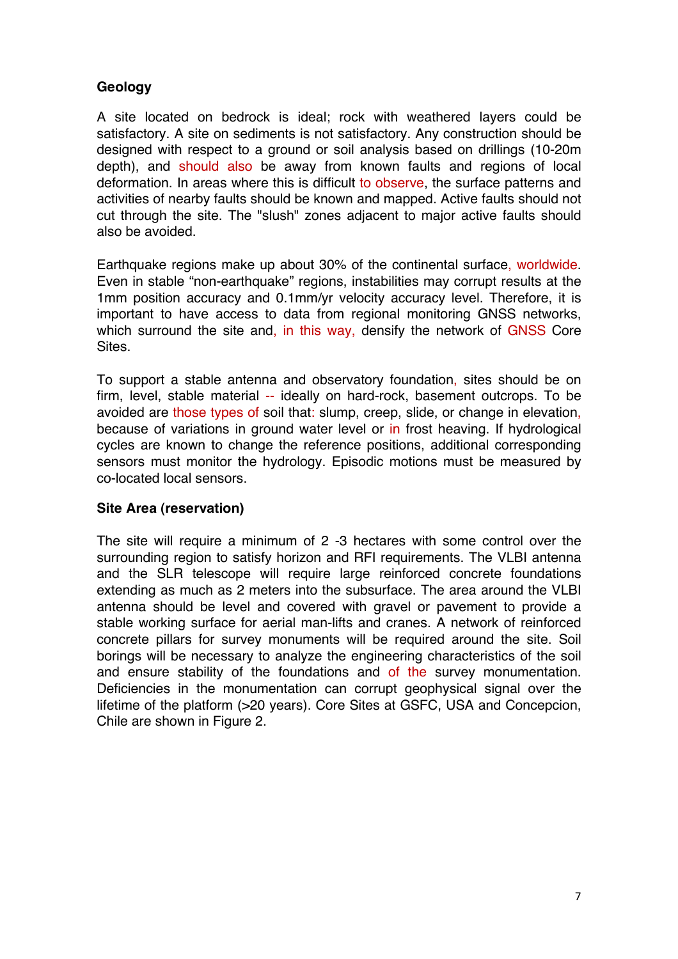## **Geology**

A site located on bedrock is ideal; rock with weathered layers could be satisfactory. A site on sediments is not satisfactory. Any construction should be designed with respect to a ground or soil analysis based on drillings (10-20m depth), and should also be away from known faults and regions of local deformation. In areas where this is difficult to observe, the surface patterns and activities of nearby faults should be known and mapped. Active faults should not cut through the site. The "slush" zones adjacent to major active faults should also be avoided.

Earthquake regions make up about 30% of the continental surface, worldwide. Even in stable "non-earthquake" regions, instabilities may corrupt results at the 1mm position accuracy and 0.1mm/yr velocity accuracy level. Therefore, it is important to have access to data from regional monitoring GNSS networks, which surround the site and, in this way, densify the network of GNSS Core Sites.

To support a stable antenna and observatory foundation, sites should be on firm, level, stable material -- ideally on hard-rock, basement outcrops. To be avoided are those types of soil that: slump, creep, slide, or change in elevation, because of variations in ground water level or in frost heaving. If hydrological cycles are known to change the reference positions, additional corresponding sensors must monitor the hydrology. Episodic motions must be measured by co-located local sensors.

## **Site Area (reservation)**

The site will require a minimum of 2 -3 hectares with some control over the surrounding region to satisfy horizon and RFI requirements. The VLBI antenna and the SLR telescope will require large reinforced concrete foundations extending as much as 2 meters into the subsurface. The area around the VLBI antenna should be level and covered with gravel or pavement to provide a stable working surface for aerial man-lifts and cranes. A network of reinforced concrete pillars for survey monuments will be required around the site. Soil borings will be necessary to analyze the engineering characteristics of the soil and ensure stability of the foundations and of the survey monumentation. Deficiencies in the monumentation can corrupt geophysical signal over the lifetime of the platform (>20 years). Core Sites at GSFC, USA and Concepcion, Chile are shown in Figure 2.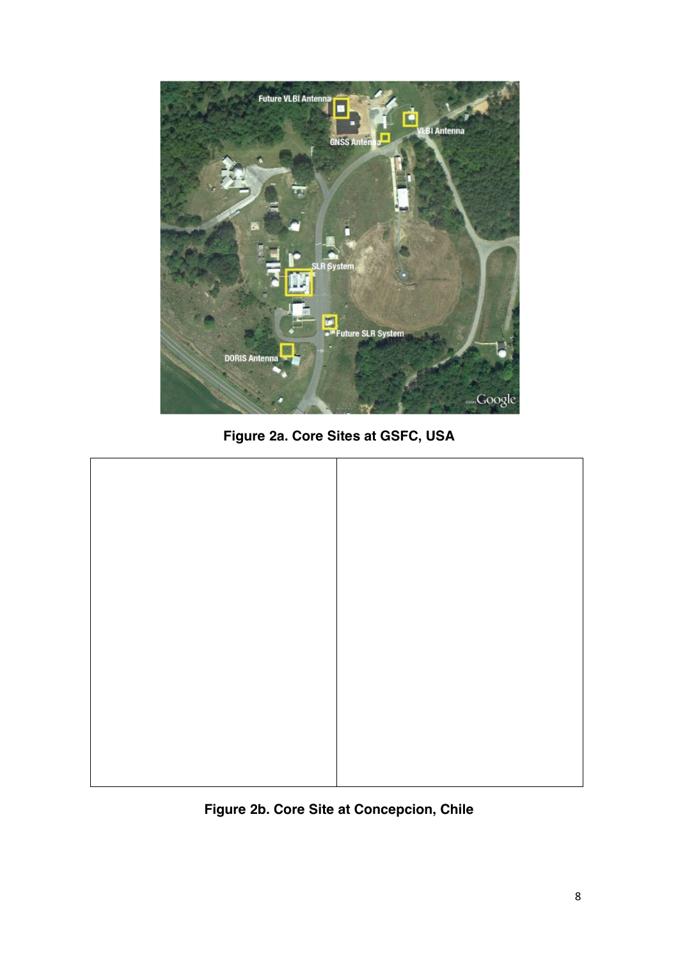

**Figure 2a. Core Sites at GSFC, USA**



**Figure 2b. Core Site at Concepcion, Chile**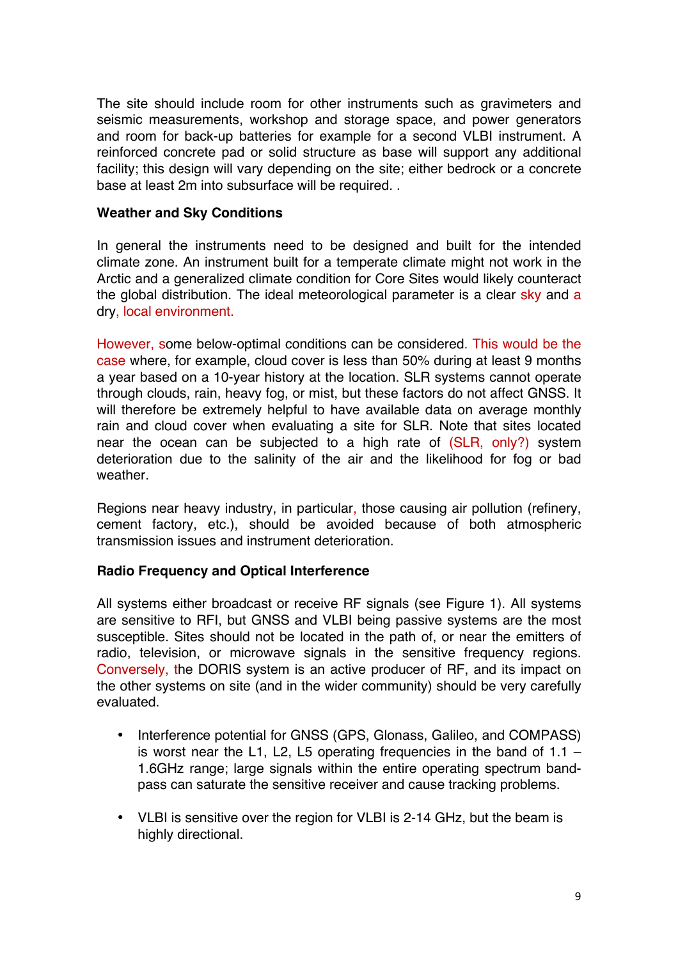The site should include room for other instruments such as gravimeters and seismic measurements, workshop and storage space, and power generators and room for back-up batteries for example for a second VLBI instrument. A reinforced concrete pad or solid structure as base will support any additional facility; this design will vary depending on the site; either bedrock or a concrete base at least 2m into subsurface will be required. .

#### **Weather and Sky Conditions**

In general the instruments need to be designed and built for the intended climate zone. An instrument built for a temperate climate might not work in the Arctic and a generalized climate condition for Core Sites would likely counteract the global distribution. The ideal meteorological parameter is a clear sky and a dry, local environment.

However, some below-optimal conditions can be considered. This would be the case where, for example, cloud cover is less than 50% during at least 9 months a year based on a 10-year history at the location. SLR systems cannot operate through clouds, rain, heavy fog, or mist, but these factors do not affect GNSS. It will therefore be extremely helpful to have available data on average monthly rain and cloud cover when evaluating a site for SLR. Note that sites located near the ocean can be subjected to a high rate of (SLR, only?) system deterioration due to the salinity of the air and the likelihood for fog or bad weather.

Regions near heavy industry, in particular, those causing air pollution (refinery, cement factory, etc.), should be avoided because of both atmospheric transmission issues and instrument deterioration.

## **Radio Frequency and Optical Interference**

All systems either broadcast or receive RF signals (see Figure 1). All systems are sensitive to RFI, but GNSS and VLBI being passive systems are the most susceptible. Sites should not be located in the path of, or near the emitters of radio, television, or microwave signals in the sensitive frequency regions. Conversely, the DORIS system is an active producer of RF, and its impact on the other systems on site (and in the wider community) should be very carefully evaluated.

- Interference potential for GNSS (GPS, Glonass, Galileo, and COMPASS) is worst near the L1, L2, L5 operating frequencies in the band of  $1.1 -$ 1.6GHz range; large signals within the entire operating spectrum bandpass can saturate the sensitive receiver and cause tracking problems.
- VLBI is sensitive over the region for VLBI is 2-14 GHz, but the beam is highly directional.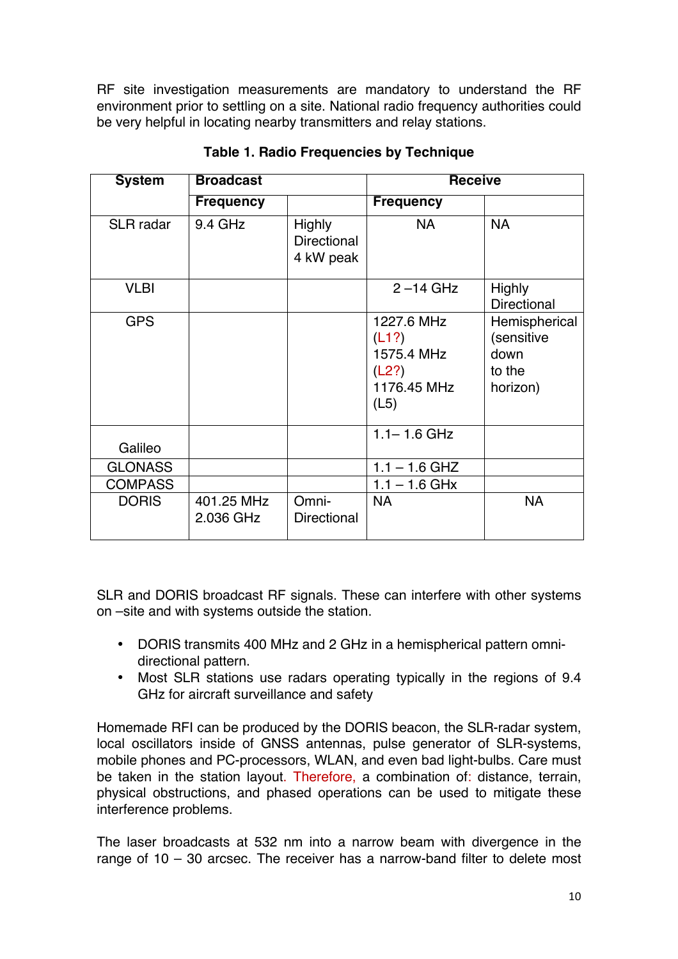RF site investigation measurements are mandatory to understand the RF environment prior to settling on a site. National radio frequency authorities could be very helpful in locating nearby transmitters and relay stations.

| <b>System</b>    | <b>Broadcast</b>        |                                                  | <b>Receive</b>                                                    |                                                           |
|------------------|-------------------------|--------------------------------------------------|-------------------------------------------------------------------|-----------------------------------------------------------|
|                  | <b>Frequency</b>        |                                                  | <b>Frequency</b>                                                  |                                                           |
| <b>SLR</b> radar | 9.4 GHz                 | <b>Highly</b><br><b>Directional</b><br>4 kW peak | <b>NA</b>                                                         | <b>NA</b>                                                 |
| <b>VLBI</b>      |                         |                                                  | $2 - 14$ GHz                                                      | <b>Highly</b><br><b>Directional</b>                       |
| <b>GPS</b>       |                         |                                                  | 1227.6 MHz<br>(L1?)<br>1575.4 MHz<br>(L2?)<br>1176.45 MHz<br>(L5) | Hemispherical<br>(sensitive<br>down<br>to the<br>horizon) |
| Galileo          |                         |                                                  | $1.1 - 1.6$ GHz                                                   |                                                           |
| <b>GLONASS</b>   |                         |                                                  | $1.1 - 1.6$ GHZ                                                   |                                                           |
| <b>COMPASS</b>   |                         |                                                  | $1.1 - 1.6$ GHx                                                   |                                                           |
| <b>DORIS</b>     | 401.25 MHz<br>2.036 GHz | Omni-<br><b>Directional</b>                      | <b>NA</b>                                                         | <b>NA</b>                                                 |

**Table 1. Radio Frequencies by Technique**

SLR and DORIS broadcast RF signals. These can interfere with other systems on –site and with systems outside the station.

- DORIS transmits 400 MHz and 2 GHz in a hemispherical pattern omnidirectional pattern.
- Most SLR stations use radars operating typically in the regions of 9.4 GHz for aircraft surveillance and safety

Homemade RFI can be produced by the DORIS beacon, the SLR-radar system, local oscillators inside of GNSS antennas, pulse generator of SLR-systems, mobile phones and PC-processors, WLAN, and even bad light-bulbs. Care must be taken in the station layout. Therefore, a combination of: distance, terrain, physical obstructions, and phased operations can be used to mitigate these interference problems.

The laser broadcasts at 532 nm into a narrow beam with divergence in the range of 10 – 30 arcsec. The receiver has a narrow-band filter to delete most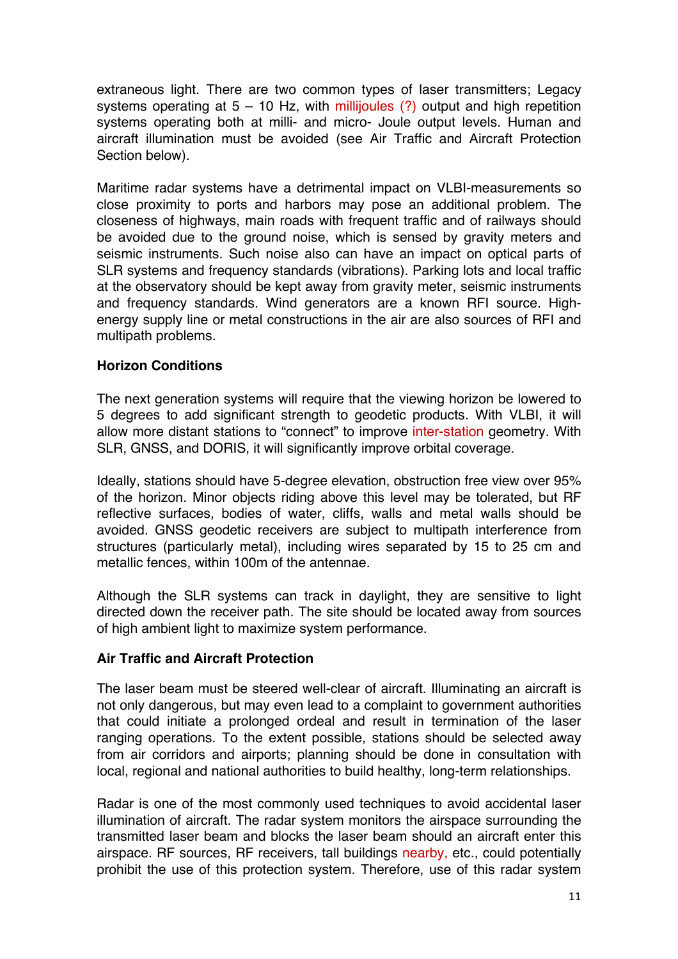extraneous light. There are two common types of laser transmitters; Legacy systems operating at  $5 - 10$  Hz, with millijoules (?) output and high repetition systems operating both at milli- and micro- Joule output levels. Human and aircraft illumination must be avoided (see Air Traffic and Aircraft Protection Section below).

Maritime radar systems have a detrimental impact on VLBI-measurements so close proximity to ports and harbors may pose an additional problem. The closeness of highways, main roads with frequent traffic and of railways should be avoided due to the ground noise, which is sensed by gravity meters and seismic instruments. Such noise also can have an impact on optical parts of SLR systems and frequency standards (vibrations). Parking lots and local traffic at the observatory should be kept away from gravity meter, seismic instruments and frequency standards. Wind generators are a known RFI source. Highenergy supply line or metal constructions in the air are also sources of RFI and multipath problems.

#### **Horizon Conditions**

The next generation systems will require that the viewing horizon be lowered to 5 degrees to add significant strength to geodetic products. With VLBI, it will allow more distant stations to "connect" to improve inter-station geometry. With SLR, GNSS, and DORIS, it will significantly improve orbital coverage.

Ideally, stations should have 5-degree elevation, obstruction free view over 95% of the horizon. Minor objects riding above this level may be tolerated, but RF reflective surfaces, bodies of water, cliffs, walls and metal walls should be avoided. GNSS geodetic receivers are subject to multipath interference from structures (particularly metal), including wires separated by 15 to 25 cm and metallic fences, within 100m of the antennae.

Although the SLR systems can track in daylight, they are sensitive to light directed down the receiver path. The site should be located away from sources of high ambient light to maximize system performance.

#### **Air Traffic and Aircraft Protection**

The laser beam must be steered well-clear of aircraft. Illuminating an aircraft is not only dangerous, but may even lead to a complaint to government authorities that could initiate a prolonged ordeal and result in termination of the laser ranging operations. To the extent possible, stations should be selected away from air corridors and airports; planning should be done in consultation with local, regional and national authorities to build healthy, long-term relationships.

Radar is one of the most commonly used techniques to avoid accidental laser illumination of aircraft. The radar system monitors the airspace surrounding the transmitted laser beam and blocks the laser beam should an aircraft enter this airspace. RF sources, RF receivers, tall buildings nearby, etc., could potentially prohibit the use of this protection system. Therefore, use of this radar system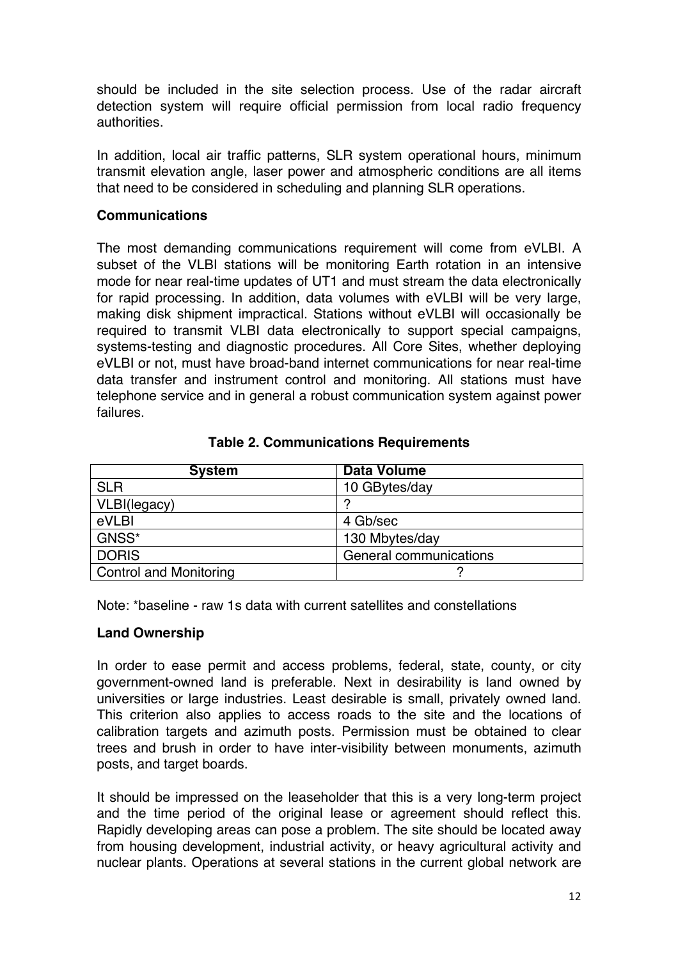should be included in the site selection process. Use of the radar aircraft detection system will require official permission from local radio frequency authorities.

In addition, local air traffic patterns, SLR system operational hours, minimum transmit elevation angle, laser power and atmospheric conditions are all items that need to be considered in scheduling and planning SLR operations.

#### **Communications**

The most demanding communications requirement will come from eVLBI. A subset of the VLBI stations will be monitoring Earth rotation in an intensive mode for near real-time updates of UT1 and must stream the data electronically for rapid processing. In addition, data volumes with eVLBI will be very large, making disk shipment impractical. Stations without eVLBI will occasionally be required to transmit VLBI data electronically to support special campaigns, systems-testing and diagnostic procedures. All Core Sites, whether deploying eVLBI or not, must have broad-band internet communications for near real-time data transfer and instrument control and monitoring. All stations must have telephone service and in general a robust communication system against power failures.

| <b>System</b>                 | <b>Data Volume</b>     |
|-------------------------------|------------------------|
| <b>SLR</b>                    | 10 GBytes/day          |
| VLBI(legacy)                  |                        |
| eVLBI                         | 4 Gb/sec               |
| GNSS*                         | 130 Mbytes/day         |
| <b>DORIS</b>                  | General communications |
| <b>Control and Monitoring</b> |                        |

#### **Table 2. Communications Requirements**

Note: \*baseline - raw 1s data with current satellites and constellations

## **Land Ownership**

In order to ease permit and access problems, federal, state, county, or city government-owned land is preferable. Next in desirability is land owned by universities or large industries. Least desirable is small, privately owned land. This criterion also applies to access roads to the site and the locations of calibration targets and azimuth posts. Permission must be obtained to clear trees and brush in order to have inter-visibility between monuments, azimuth posts, and target boards.

It should be impressed on the leaseholder that this is a very long-term project and the time period of the original lease or agreement should reflect this. Rapidly developing areas can pose a problem. The site should be located away from housing development, industrial activity, or heavy agricultural activity and nuclear plants. Operations at several stations in the current global network are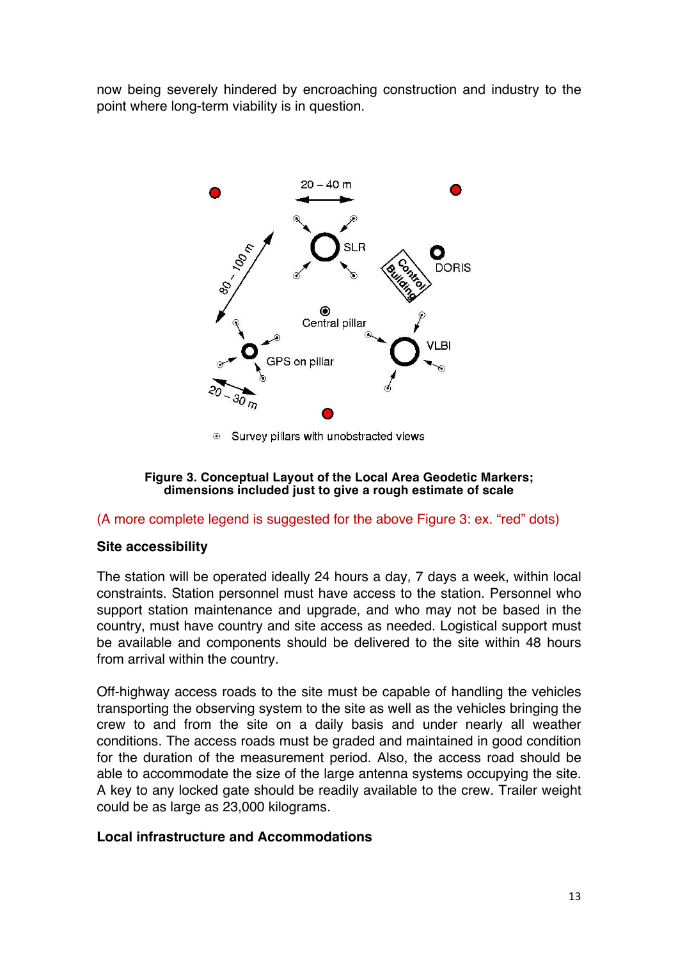now being severely hindered by encroaching construction and industry to the point where long-term viability is in question.



Survey pillars with unobstracted views

#### **Figure 3. Conceptual Layout of the Local Area Geodetic Markers; dimensions included just to give a rough estimate of scale**

#### (A more complete legend is suggested for the above Figure 3: ex. "red" dots)

#### **Site accessibility**

The station will be operated ideally 24 hours a day, 7 days a week, within local constraints. Station personnel must have access to the station. Personnel who support station maintenance and upgrade, and who may not be based in the country, must have country and site access as needed. Logistical support must be available and components should be delivered to the site within 48 hours from arrival within the country.

Off-highway access roads to the site must be capable of handling the vehicles transporting the observing system to the site as well as the vehicles bringing the crew to and from the site on a daily basis and under nearly all weather conditions. The access roads must be graded and maintained in good condition for the duration of the measurement period. Also, the access road should be able to accommodate the size of the large antenna systems occupying the site. A key to any locked gate should be readily available to the crew. Trailer weight could be as large as 23,000 kilograms.

#### **Local infrastructure and Accommodations**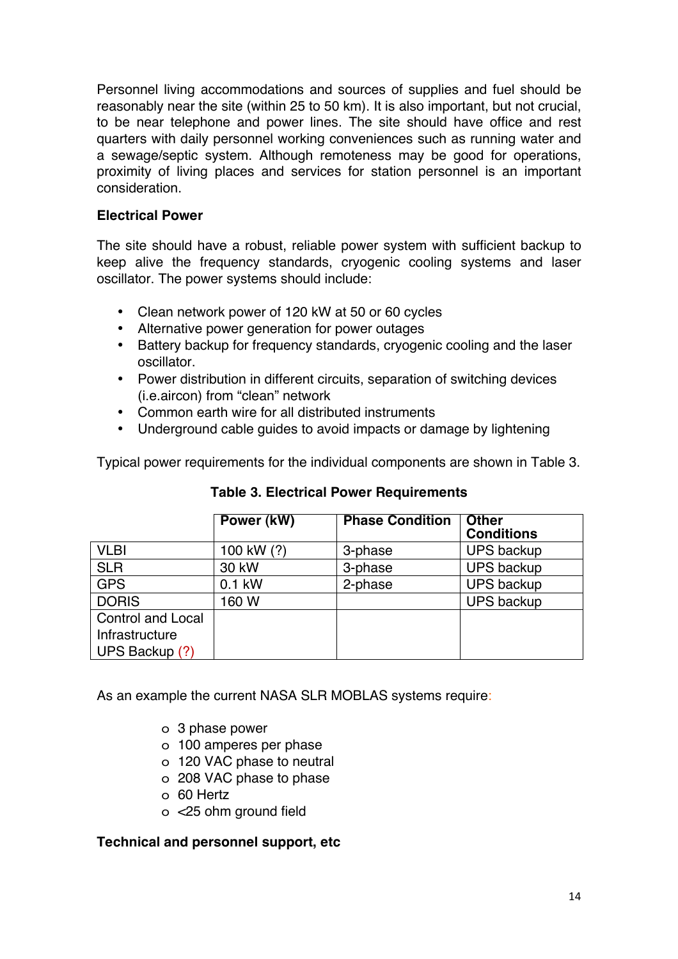Personnel living accommodations and sources of supplies and fuel should be reasonably near the site (within 25 to 50 km). It is also important, but not crucial, to be near telephone and power lines. The site should have office and rest quarters with daily personnel working conveniences such as running water and a sewage/septic system. Although remoteness may be good for operations, proximity of living places and services for station personnel is an important consideration.

### **Electrical Power**

The site should have a robust, reliable power system with sufficient backup to keep alive the frequency standards, cryogenic cooling systems and laser oscillator. The power systems should include:

- Clean network power of 120 kW at 50 or 60 cycles
- Alternative power generation for power outages
- Battery backup for frequency standards, cryogenic cooling and the laser oscillator.
- Power distribution in different circuits, separation of switching devices (i.e.aircon) from "clean" network
- Common earth wire for all distributed instruments
- Underground cable guides to avoid impacts or damage by lightening

Typical power requirements for the individual components are shown in Table 3.

|                          | Power (kW) | <b>Phase Condition</b> | <b>Other</b><br><b>Conditions</b> |
|--------------------------|------------|------------------------|-----------------------------------|
| <b>VLBI</b>              | 100 kW (?) | 3-phase                | <b>UPS backup</b>                 |
| <b>SLR</b>               | 30 kW      | 3-phase                | <b>UPS backup</b>                 |
| <b>GPS</b>               | $0.1$ kW   | 2-phase                | <b>UPS backup</b>                 |
| <b>DORIS</b>             | 160W       |                        | <b>UPS backup</b>                 |
| <b>Control and Local</b> |            |                        |                                   |
| Infrastructure           |            |                        |                                   |
| UPS Backup (?)           |            |                        |                                   |

**Table 3. Electrical Power Requirements**

As an example the current NASA SLR MOBLAS systems require:

- o 3 phase power
- o 100 amperes per phase
- o 120 VAC phase to neutral
- o 208 VAC phase to phase
- o 60 Hertz
- o <25 ohm ground field

#### **Technical and personnel support, etc**